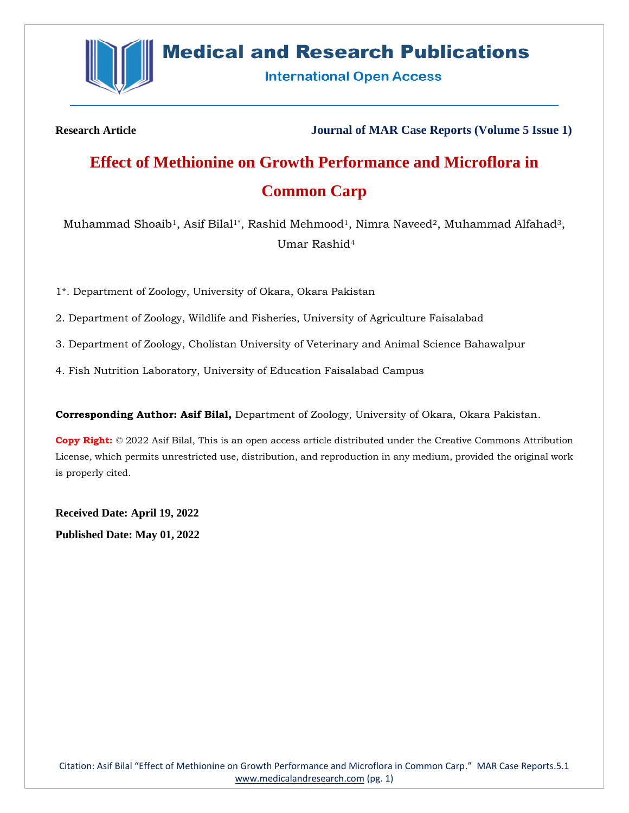

## **Medical and Research Publications**

**International Open Access** 

**Research Article Journal of MAR Case Reports (Volume 5 Issue 1)**

# **Effect of Methionine on Growth Performance and Microflora in Common Carp**

Muhammad Shoaib<sup>1</sup>, Asif Bilal<sup>1\*</sup>, Rashid Mehmood<sup>1</sup>, Nimra Naveed<sup>2</sup>, Muhammad Alfahad<sup>3</sup>, Umar Rashid<sup>4</sup>

1\*. Department of Zoology, University of Okara, Okara Pakistan

2. Department of Zoology, Wildlife and Fisheries, University of Agriculture Faisalabad

3. Department of Zoology, Cholistan University of Veterinary and Animal Science Bahawalpur

4. Fish Nutrition Laboratory, University of Education Faisalabad Campus

**Corresponding Author: Asif Bilal,** Department of Zoology, University of Okara, Okara Pakistan.

**Copy Right:** © 2022 Asif Bilal, This is an open access article distributed under the Creative Commons Attribution License, which permits unrestricted use, distribution, and reproduction in any medium, provided the original work is properly cited.

**Received Date: April 19, 2022**

**Published Date: May 01, 2022**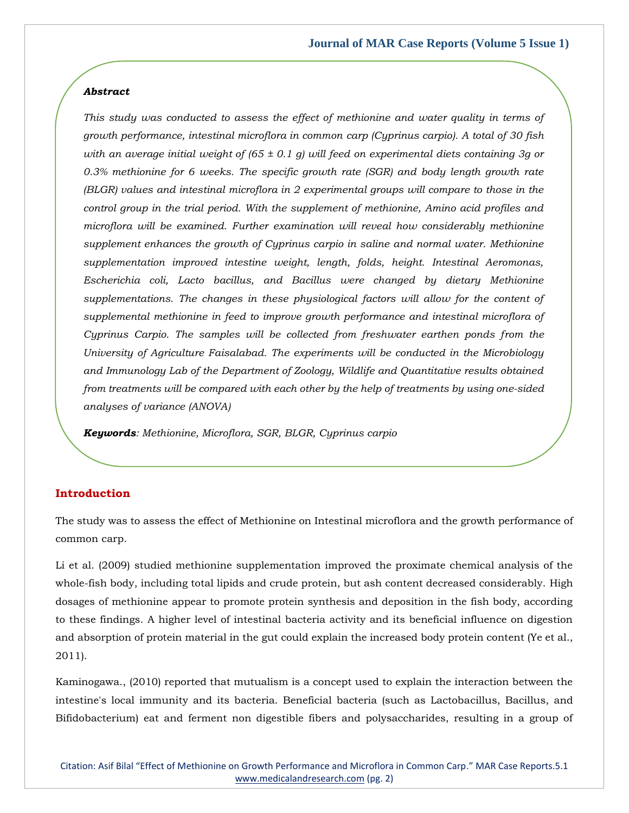#### *Abstract*

*This study was conducted to assess the effect of methionine and water quality in terms of growth performance, intestinal microflora in common carp (Cyprinus carpio). A total of 30 fish with an average initial weight of (65 ± 0.1 g) will feed on experimental diets containing 3g or 0.3% methionine for 6 weeks. The specific growth rate (SGR) and body length growth rate (BLGR) values and intestinal microflora in 2 experimental groups will compare to those in the control group in the trial period. With the supplement of methionine, Amino acid profiles and microflora will be examined. Further examination will reveal how considerably methionine supplement enhances the growth of Cyprinus carpio in saline and normal water. Methionine supplementation improved intestine weight, length, folds, height. Intestinal Aeromonas, Escherichia coli, Lacto bacillus, and Bacillus were changed by dietary Methionine*  supplementations. The changes in these physiological factors will allow for the content of *supplemental methionine in feed to improve growth performance and intestinal microflora of Cyprinus Carpio. The samples will be collected from freshwater earthen ponds from the University of Agriculture Faisalabad. The experiments will be conducted in the Microbiology and Immunology Lab of the Department of Zoology, Wildlife and Quantitative results obtained from treatments will be compared with each other by the help of treatments by using one-sided analyses of variance (ANOVA)*

*Keywords: Methionine, Microflora, SGR, BLGR, Cyprinus carpio*

## **Introduction**

The study was to assess the effect of Methionine on Intestinal microflora and the growth performance of common carp.

Li et al. (2009) studied methionine supplementation improved the proximate chemical analysis of the whole-fish body, including total lipids and crude protein, but ash content decreased considerably. High dosages of methionine appear to promote protein synthesis and deposition in the fish body, according to these findings. A higher level of intestinal bacteria activity and its beneficial influence on digestion and absorption of protein material in the gut could explain the increased body protein content (Ye et al., 2011).

Kaminogawa., (2010) reported that mutualism is a concept used to explain the interaction between the intestine's local immunity and its bacteria. Beneficial bacteria (such as Lactobacillus, Bacillus, and Bifidobacterium) eat and ferment non digestible fibers and polysaccharides, resulting in a group of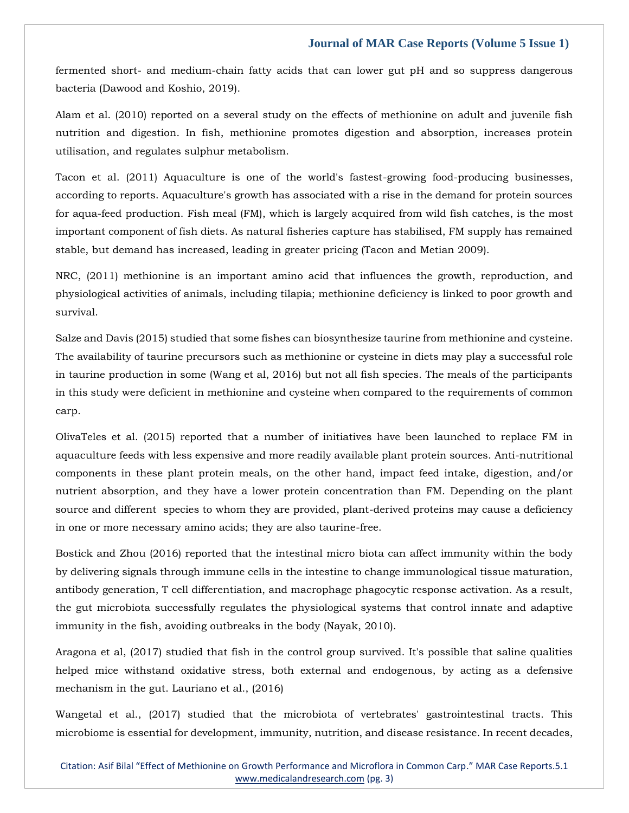fermented short- and medium-chain fatty acids that can lower gut pH and so suppress dangerous bacteria (Dawood and Koshio, 2019).

Alam et al. (2010) reported on a several study on the effects of methionine on adult and juvenile fish nutrition and digestion. In fish, methionine promotes digestion and absorption, increases protein utilisation, and regulates sulphur metabolism.

Tacon et al. (2011) Aquaculture is one of the world's fastest-growing food-producing businesses, according to reports. Aquaculture's growth has associated with a rise in the demand for protein sources for aqua-feed production. Fish meal (FM), which is largely acquired from wild fish catches, is the most important component of fish diets. As natural fisheries capture has stabilised, FM supply has remained stable, but demand has increased, leading in greater pricing (Tacon and Metian 2009).

NRC, (2011) methionine is an important amino acid that influences the growth, reproduction, and physiological activities of animals, including tilapia; methionine deficiency is linked to poor growth and survival.

Salze and Davis (2015) studied that some fishes can biosynthesize taurine from methionine and cysteine. The availability of taurine precursors such as methionine or cysteine in diets may play a successful role in taurine production in some (Wang et al, 2016) but not all fish species. The meals of the participants in this study were deficient in methionine and cysteine when compared to the requirements of common carp.

OlivaTeles et al. (2015) reported that a number of initiatives have been launched to replace FM in aquaculture feeds with less expensive and more readily available plant protein sources. Anti-nutritional components in these plant protein meals, on the other hand, impact feed intake, digestion, and/or nutrient absorption, and they have a lower protein concentration than FM. Depending on the plant source and different species to whom they are provided, plant-derived proteins may cause a deficiency in one or more necessary amino acids; they are also taurine-free.

Bostick and Zhou (2016) reported that the intestinal micro biota can affect immunity within the body by delivering signals through immune cells in the intestine to change immunological tissue maturation, antibody generation, T cell differentiation, and macrophage phagocytic response activation. As a result, the gut microbiota successfully regulates the physiological systems that control innate and adaptive immunity in the fish, avoiding outbreaks in the body (Nayak, 2010).

Aragona et al, (2017) studied that fish in the control group survived. It's possible that saline qualities helped mice withstand oxidative stress, both external and endogenous, by acting as a defensive mechanism in the gut. Lauriano et al., (2016)

Wangetal et al., (2017) studied that the microbiota of vertebrates' gastrointestinal tracts. This microbiome is essential for development, immunity, nutrition, and disease resistance. In recent decades,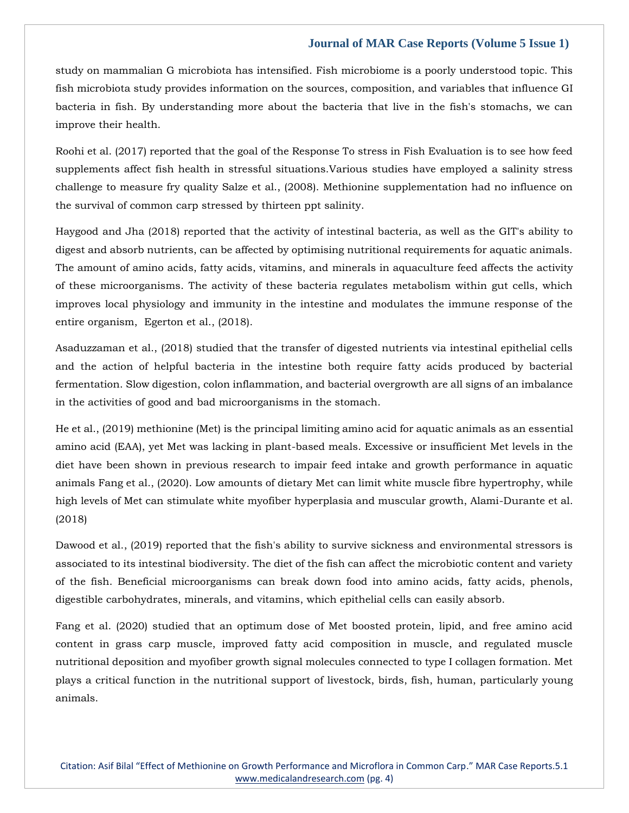study on mammalian G microbiota has intensified. Fish microbiome is a poorly understood topic. This fish microbiota study provides information on the sources, composition, and variables that influence GI bacteria in fish. By understanding more about the bacteria that live in the fish's stomachs, we can improve their health.

Roohi et al. (2017) reported that the goal of the Response To stress in Fish Evaluation is to see how feed supplements affect fish health in stressful situations.Various studies have employed a salinity stress challenge to measure fry quality Salze et al., (2008). Methionine supplementation had no influence on the survival of common carp stressed by thirteen ppt salinity.

Haygood and Jha (2018) reported that the activity of intestinal bacteria, as well as the GIT's ability to digest and absorb nutrients, can be affected by optimising nutritional requirements for aquatic animals. The amount of amino acids, fatty acids, vitamins, and minerals in aquaculture feed affects the activity of these microorganisms. The activity of these bacteria regulates metabolism within gut cells, which improves local physiology and immunity in the intestine and modulates the immune response of the entire organism, Egerton et al., (2018).

Asaduzzaman et al., (2018) studied that the transfer of digested nutrients via intestinal epithelial cells and the action of helpful bacteria in the intestine both require fatty acids produced by bacterial fermentation. Slow digestion, colon inflammation, and bacterial overgrowth are all signs of an imbalance in the activities of good and bad microorganisms in the stomach.

He et al., (2019) methionine (Met) is the principal limiting amino acid for aquatic animals as an essential amino acid (EAA), yet Met was lacking in plant-based meals. Excessive or insufficient Met levels in the diet have been shown in previous research to impair feed intake and growth performance in aquatic animals Fang et al., (2020). Low amounts of dietary Met can limit white muscle fibre hypertrophy, while high levels of Met can stimulate white myofiber hyperplasia and muscular growth, Alami-Durante et al. (2018)

Dawood et al., (2019) reported that the fish's ability to survive sickness and environmental stressors is associated to its intestinal biodiversity. The diet of the fish can affect the microbiotic content and variety of the fish. Beneficial microorganisms can break down food into amino acids, fatty acids, phenols, digestible carbohydrates, minerals, and vitamins, which epithelial cells can easily absorb.

Fang et al. (2020) studied that an optimum dose of Met boosted protein, lipid, and free amino acid content in grass carp muscle, improved fatty acid composition in muscle, and regulated muscle nutritional deposition and myofiber growth signal molecules connected to type I collagen formation. Met plays a critical function in the nutritional support of livestock, birds, fish, human, particularly young animals.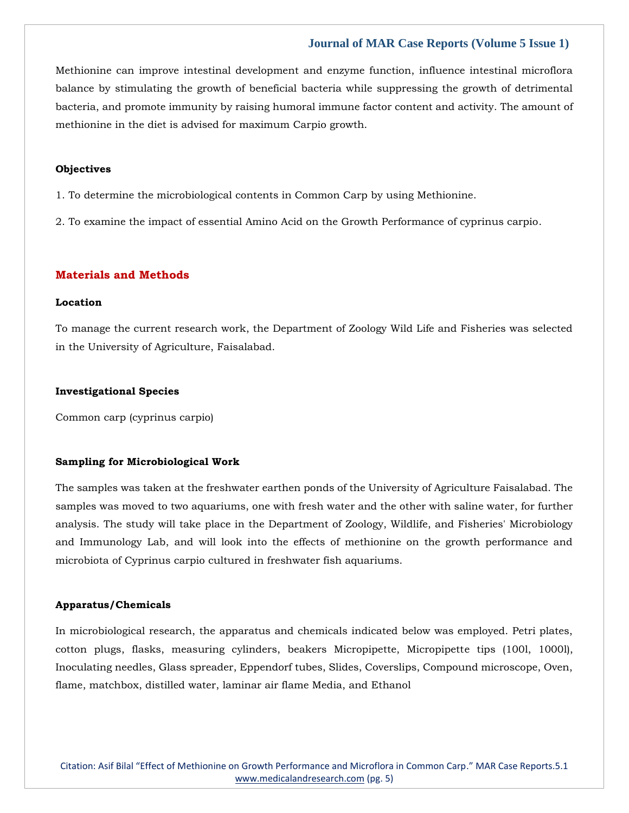Methionine can improve intestinal development and enzyme function, influence intestinal microflora balance by stimulating the growth of beneficial bacteria while suppressing the growth of detrimental bacteria, and promote immunity by raising humoral immune factor content and activity. The amount of methionine in the diet is advised for maximum Carpio growth.

## **Objectives**

- 1. To determine the microbiological contents in Common Carp by using Methionine.
- 2. To examine the impact of essential Amino Acid on the Growth Performance of cyprinus carpio.

## **Materials and Methods**

## **Location**

To manage the current research work, the Department of Zoology Wild Life and Fisheries was selected in the University of Agriculture, Faisalabad.

#### **Investigational Species**

Common carp (cyprinus carpio)

#### **Sampling for Microbiological Work**

The samples was taken at the freshwater earthen ponds of the University of Agriculture Faisalabad. The samples was moved to two aquariums, one with fresh water and the other with saline water, for further analysis. The study will take place in the Department of Zoology, Wildlife, and Fisheries' Microbiology and Immunology Lab, and will look into the effects of methionine on the growth performance and microbiota of Cyprinus carpio cultured in freshwater fish aquariums.

#### **Apparatus/Chemicals**

In microbiological research, the apparatus and chemicals indicated below was employed. Petri plates, cotton plugs, flasks, measuring cylinders, beakers Micropipette, Micropipette tips (100l, 1000l), Inoculating needles, Glass spreader, Eppendorf tubes, Slides, Coverslips, Compound microscope, Oven, flame, matchbox, distilled water, laminar air flame Media, and Ethanol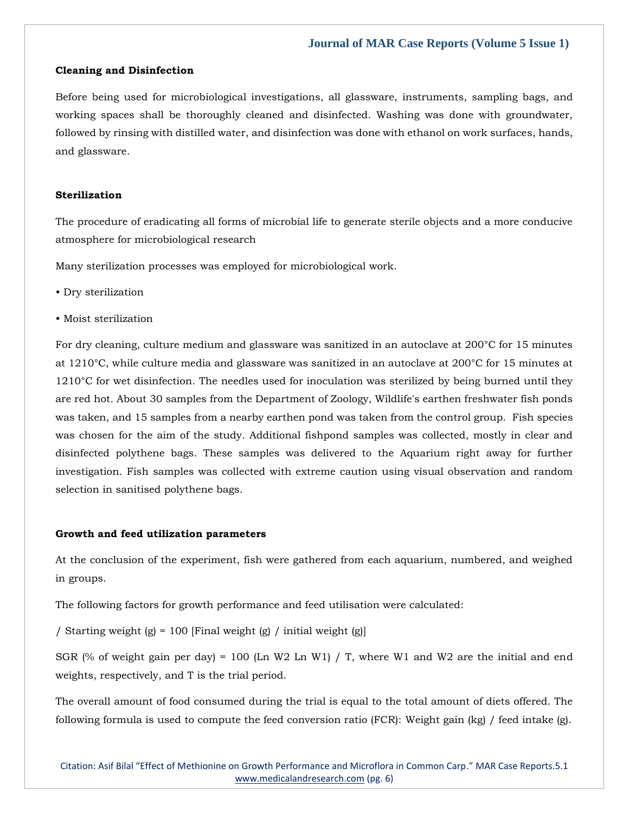#### **Cleaning and Disinfection**

Before being used for microbiological investigations, all glassware, instruments, sampling bags, and working spaces shall be thoroughly cleaned and disinfected. Washing was done with groundwater, followed by rinsing with distilled water, and disinfection was done with ethanol on work surfaces, hands, and glassware.

#### **Sterilization**

The procedure of eradicating all forms of microbial life to generate sterile objects and a more conducive atmosphere for microbiological research

Many sterilization processes was employed for microbiological work.

- Dry sterilization
- Moist sterilization

For dry cleaning, culture medium and glassware was sanitized in an autoclave at 200°C for 15 minutes at 1210°C, while culture media and glassware was sanitized in an autoclave at 200°C for 15 minutes at 1210°C for wet disinfection. The needles used for inoculation was sterilized by being burned until they are red hot. About 30 samples from the Department of Zoology, Wildlife's earthen freshwater fish ponds was taken, and 15 samples from a nearby earthen pond was taken from the control group. Fish species was chosen for the aim of the study. Additional fishpond samples was collected, mostly in clear and disinfected polythene bags. These samples was delivered to the Aquarium right away for further investigation. Fish samples was collected with extreme caution using visual observation and random selection in sanitised polythene bags.

#### **Growth and feed utilization parameters**

At the conclusion of the experiment, fish were gathered from each aquarium, numbered, and weighed in groups.

The following factors for growth performance and feed utilisation were calculated:

/ Starting weight (g) = 100 [Final weight (g) / initial weight (g)]

SGR (% of weight gain per day) = 100 (Ln W2 Ln W1) / T, where W1 and W2 are the initial and end weights, respectively, and T is the trial period.

The overall amount of food consumed during the trial is equal to the total amount of diets offered. The following formula is used to compute the feed conversion ratio (FCR): Weight gain (kg) / feed intake (g).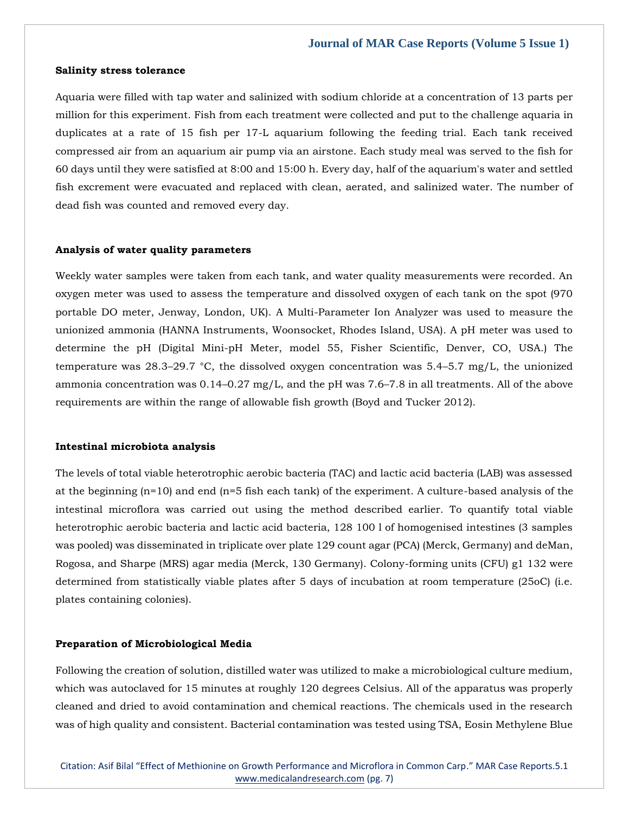#### **Salinity stress tolerance**

Aquaria were filled with tap water and salinized with sodium chloride at a concentration of 13 parts per million for this experiment. Fish from each treatment were collected and put to the challenge aquaria in duplicates at a rate of 15 fish per 17-L aquarium following the feeding trial. Each tank received compressed air from an aquarium air pump via an airstone. Each study meal was served to the fish for 60 days until they were satisfied at 8:00 and 15:00 h. Every day, half of the aquarium's water and settled fish excrement were evacuated and replaced with clean, aerated, and salinized water. The number of dead fish was counted and removed every day.

#### **Analysis of water quality parameters**

Weekly water samples were taken from each tank, and water quality measurements were recorded. An oxygen meter was used to assess the temperature and dissolved oxygen of each tank on the spot (970 portable DO meter, Jenway, London, UK). A Multi-Parameter Ion Analyzer was used to measure the unionized ammonia (HANNA Instruments, Woonsocket, Rhodes Island, USA). A pH meter was used to determine the pH (Digital Mini-pH Meter, model 55, Fisher Scientific, Denver, CO, USA.) The temperature was 28.3–29.7 °C, the dissolved oxygen concentration was 5.4–5.7 mg/L, the unionized ammonia concentration was 0.14–0.27 mg/L, and the pH was 7.6–7.8 in all treatments. All of the above requirements are within the range of allowable fish growth (Boyd and Tucker 2012).

## **Intestinal microbiota analysis**

The levels of total viable heterotrophic aerobic bacteria (TAC) and lactic acid bacteria (LAB) was assessed at the beginning (n=10) and end (n=5 fish each tank) of the experiment. A culture-based analysis of the intestinal microflora was carried out using the method described earlier. To quantify total viable heterotrophic aerobic bacteria and lactic acid bacteria, 128 100 l of homogenised intestines (3 samples was pooled) was disseminated in triplicate over plate 129 count agar (PCA) (Merck, Germany) and deMan, Rogosa, and Sharpe (MRS) agar media (Merck, 130 Germany). Colony-forming units (CFU) g1 132 were determined from statistically viable plates after 5 days of incubation at room temperature (25oC) (i.e. plates containing colonies).

## **Preparation of Microbiological Media**

Following the creation of solution, distilled water was utilized to make a microbiological culture medium, which was autoclaved for 15 minutes at roughly 120 degrees Celsius. All of the apparatus was properly cleaned and dried to avoid contamination and chemical reactions. The chemicals used in the research was of high quality and consistent. Bacterial contamination was tested using TSA, Eosin Methylene Blue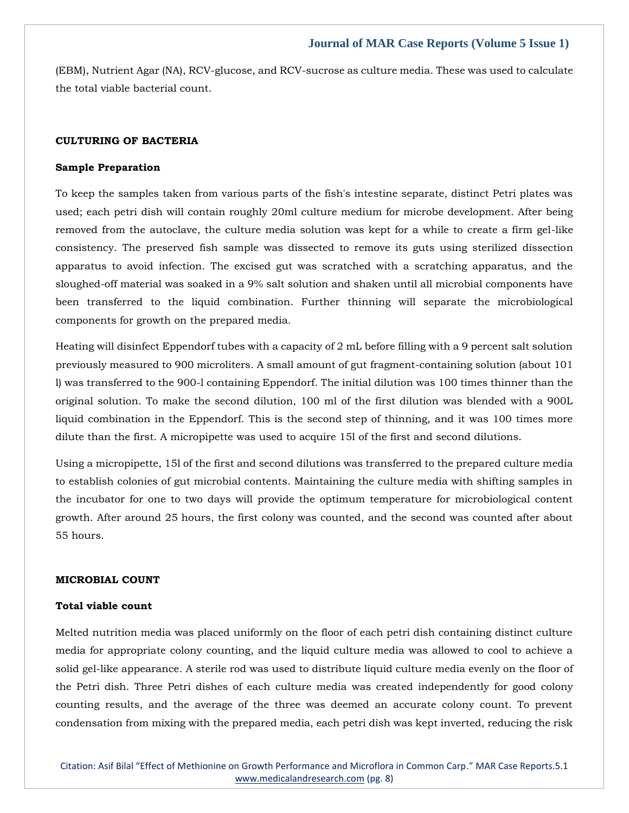(EBM), Nutrient Agar (NA), RCV-glucose, and RCV-sucrose as culture media. These was used to calculate the total viable bacterial count.

## **CULTURING OF BACTERIA**

#### **Sample Preparation**

To keep the samples taken from various parts of the fish's intestine separate, distinct Petri plates was used; each petri dish will contain roughly 20ml culture medium for microbe development. After being removed from the autoclave, the culture media solution was kept for a while to create a firm gel-like consistency. The preserved fish sample was dissected to remove its guts using sterilized dissection apparatus to avoid infection. The excised gut was scratched with a scratching apparatus, and the sloughed-off material was soaked in a 9% salt solution and shaken until all microbial components have been transferred to the liquid combination. Further thinning will separate the microbiological components for growth on the prepared media.

Heating will disinfect Eppendorf tubes with a capacity of 2 mL before filling with a 9 percent salt solution previously measured to 900 microliters. A small amount of gut fragment-containing solution (about 101 l) was transferred to the 900-l containing Eppendorf. The initial dilution was 100 times thinner than the original solution. To make the second dilution, 100 ml of the first dilution was blended with a 900L liquid combination in the Eppendorf. This is the second step of thinning, and it was 100 times more dilute than the first. A micropipette was used to acquire 15l of the first and second dilutions.

Using a micropipette, 15l of the first and second dilutions was transferred to the prepared culture media to establish colonies of gut microbial contents. Maintaining the culture media with shifting samples in the incubator for one to two days will provide the optimum temperature for microbiological content growth. After around 25 hours, the first colony was counted, and the second was counted after about 55 hours.

#### **MICROBIAL COUNT**

#### **Total viable count**

Melted nutrition media was placed uniformly on the floor of each petri dish containing distinct culture media for appropriate colony counting, and the liquid culture media was allowed to cool to achieve a solid gel-like appearance. A sterile rod was used to distribute liquid culture media evenly on the floor of the Petri dish. Three Petri dishes of each culture media was created independently for good colony counting results, and the average of the three was deemed an accurate colony count. To prevent condensation from mixing with the prepared media, each petri dish was kept inverted, reducing the risk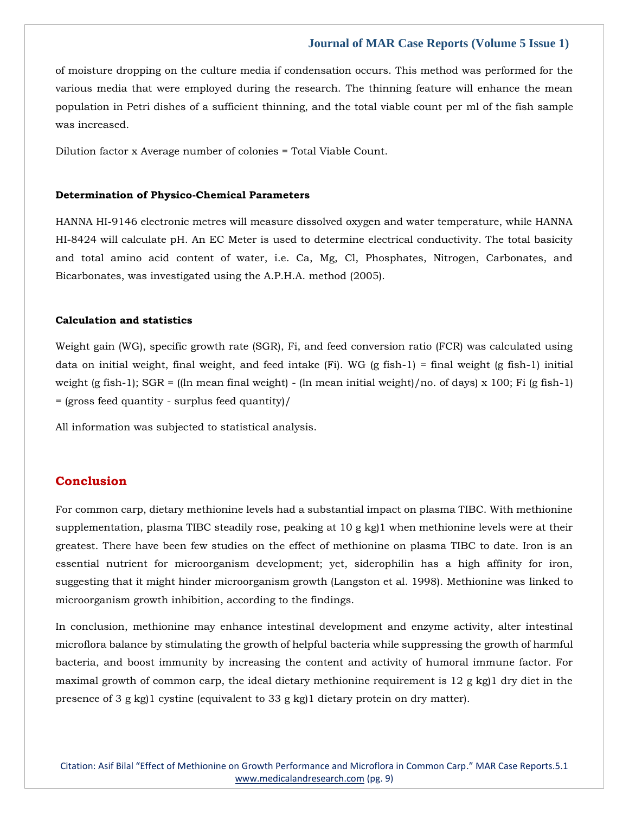of moisture dropping on the culture media if condensation occurs. This method was performed for the various media that were employed during the research. The thinning feature will enhance the mean population in Petri dishes of a sufficient thinning, and the total viable count per ml of the fish sample was increased.

Dilution factor x Average number of colonies = Total Viable Count.

#### **Determination of Physico-Chemical Parameters**

HANNA HI-9146 electronic metres will measure dissolved oxygen and water temperature, while HANNA HI-8424 will calculate pH. An EC Meter is used to determine electrical conductivity. The total basicity and total amino acid content of water, i.e. Ca, Mg, Cl, Phosphates, Nitrogen, Carbonates, and Bicarbonates, was investigated using the A.P.H.A. method (2005).

## **Calculation and statistics**

Weight gain (WG), specific growth rate (SGR), Fi, and feed conversion ratio (FCR) was calculated using data on initial weight, final weight, and feed intake  $(Fi)$ . WG  $(g$  fish-1) = final weight  $(g$  fish-1) initial weight (g fish-1);  $SGR = ($ ln mean final weight) - (ln mean initial weight)/no. of days) x 100; Fi (g fish-1) = (gross feed quantity - surplus feed quantity)/

All information was subjected to statistical analysis.

## **Conclusion**

For common carp, dietary methionine levels had a substantial impact on plasma TIBC. With methionine supplementation, plasma TIBC steadily rose, peaking at 10 g kg)1 when methionine levels were at their greatest. There have been few studies on the effect of methionine on plasma TIBC to date. Iron is an essential nutrient for microorganism development; yet, siderophilin has a high affinity for iron, suggesting that it might hinder microorganism growth (Langston et al. 1998). Methionine was linked to microorganism growth inhibition, according to the findings.

In conclusion, methionine may enhance intestinal development and enzyme activity, alter intestinal microflora balance by stimulating the growth of helpful bacteria while suppressing the growth of harmful bacteria, and boost immunity by increasing the content and activity of humoral immune factor. For maximal growth of common carp, the ideal dietary methionine requirement is  $12 \text{ g kg}$  dry diet in the presence of 3 g kg)1 cystine (equivalent to 33 g kg)1 dietary protein on dry matter).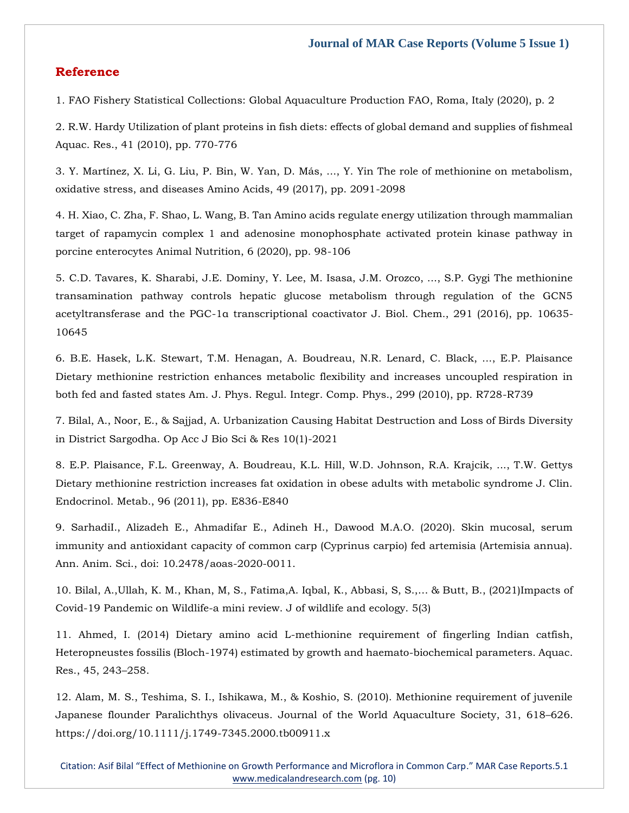## **Reference**

1. FAO Fishery Statistical Collections: Global Aquaculture Production FAO, Roma, Italy (2020), p. 2

2. R.W. Hardy Utilization of plant proteins in fish diets: effects of global demand and supplies of fishmeal Aquac. Res., 41 (2010), pp. 770-776

3. Y. Martínez, X. Li, G. Liu, P. Bin, W. Yan, D. Más, ..., Y. Yin The role of methionine on metabolism, oxidative stress, and diseases Amino Acids, 49 (2017), pp. 2091-2098

4. H. Xiao, C. Zha, F. Shao, L. Wang, B. Tan Amino acids regulate energy utilization through mammalian target of rapamycin complex 1 and adenosine monophosphate activated protein kinase pathway in porcine enterocytes Animal Nutrition, 6 (2020), pp. 98-106

5. C.D. Tavares, K. Sharabi, J.E. Dominy, Y. Lee, M. Isasa, J.M. Orozco, ..., S.P. Gygi The methionine transamination pathway controls hepatic glucose metabolism through regulation of the GCN5 acetyltransferase and the PGC-1α transcriptional coactivator J. Biol. Chem., 291 (2016), pp. 10635- 10645

6. B.E. Hasek, L.K. Stewart, T.M. Henagan, A. Boudreau, N.R. Lenard, C. Black, ..., E.P. Plaisance Dietary methionine restriction enhances metabolic flexibility and increases uncoupled respiration in both fed and fasted states Am. J. Phys. Regul. Integr. Comp. Phys., 299 (2010), pp. R728-R739

7. Bilal, A., Noor, E., & Sajjad, A. Urbanization Causing Habitat Destruction and Loss of Birds Diversity in District Sargodha. Op Acc J Bio Sci & Res 10(1)-2021

8. E.P. Plaisance, F.L. Greenway, A. Boudreau, K.L. Hill, W.D. Johnson, R.A. Krajcik, ..., T.W. Gettys Dietary methionine restriction increases fat oxidation in obese adults with metabolic syndrome J. Clin. Endocrinol. Metab., 96 (2011), pp. E836-E840

9. SarhadiI., Alizadeh E., Ahmadifar E., Adineh H., Dawood M.A.O. (2020). Skin mucosal, serum immunity and antioxidant capacity of common carp (Cyprinus carpio) fed artemisia (Artemisia annua). Ann. Anim. Sci., doi: 10.2478/aoas-2020-0011.

10. Bilal, A.,Ullah, K. M., Khan, M, S., Fatima,A. Iqbal, K., Abbasi, S, S.,… & Butt, B., (2021)Impacts of Covid-19 Pandemic on Wildlife-a mini review. J of wildlife and ecology. 5(3)

11. Ahmed, I. (2014) Dietary amino acid L-methionine requirement of fingerling Indian catfish, Heteropneustes fossilis (Bloch-1974) estimated by growth and haemato-biochemical parameters. Aquac. Res., 45, 243–258.

12. Alam, M. S., Teshima, S. I., Ishikawa, M., & Koshio, S. (2010). Methionine requirement of juvenile Japanese flounder Paralichthys olivaceus. Journal of the World Aquaculture Society, 31, 618–626. https://doi.org/10.1111/j.1749-7345.2000.tb00911.x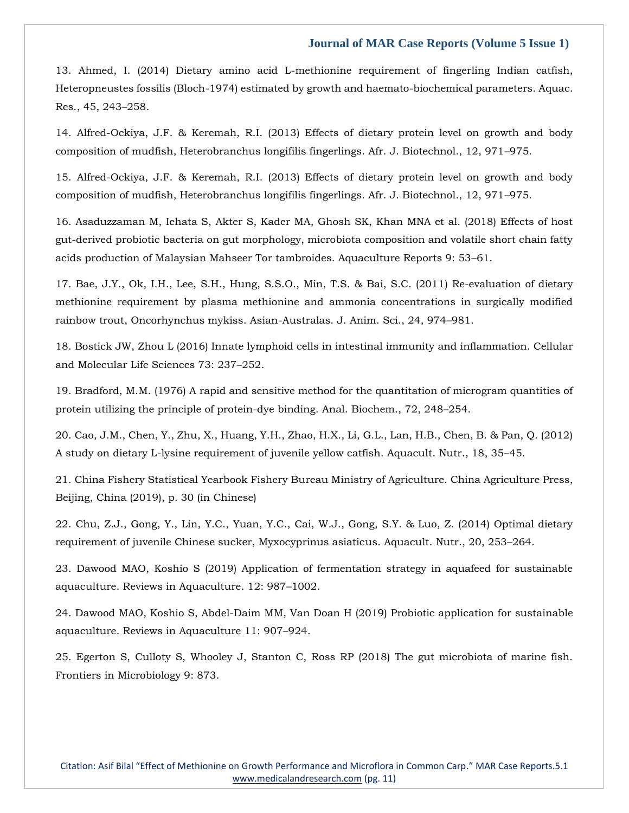13. Ahmed, I. (2014) Dietary amino acid L-methionine requirement of fingerling Indian catfish, Heteropneustes fossilis (Bloch-1974) estimated by growth and haemato-biochemical parameters. Aquac. Res., 45, 243–258.

14. Alfred-Ockiya, J.F. & Keremah, R.I. (2013) Effects of dietary protein level on growth and body composition of mudfish, Heterobranchus longifilis fingerlings. Afr. J. Biotechnol., 12, 971–975.

15. Alfred-Ockiya, J.F. & Keremah, R.I. (2013) Effects of dietary protein level on growth and body composition of mudfish, Heterobranchus longifilis fingerlings. Afr. J. Biotechnol., 12, 971–975.

16. Asaduzzaman M, Iehata S, Akter S, Kader MA, Ghosh SK, Khan MNA et al. (2018) Effects of host gut-derived probiotic bacteria on gut morphology, microbiota composition and volatile short chain fatty acids production of Malaysian Mahseer Tor tambroides. Aquaculture Reports 9: 53–61.

17. Bae, J.Y., Ok, I.H., Lee, S.H., Hung, S.S.O., Min, T.S. & Bai, S.C. (2011) Re-evaluation of dietary methionine requirement by plasma methionine and ammonia concentrations in surgically modified rainbow trout, Oncorhynchus mykiss. Asian-Australas. J. Anim. Sci., 24, 974–981.

18. Bostick JW, Zhou L (2016) Innate lymphoid cells in intestinal immunity and inflammation. Cellular and Molecular Life Sciences 73: 237–252.

19. Bradford, M.M. (1976) A rapid and sensitive method for the quantitation of microgram quantities of protein utilizing the principle of protein-dye binding. Anal. Biochem., 72, 248–254.

20. Cao, J.M., Chen, Y., Zhu, X., Huang, Y.H., Zhao, H.X., Li, G.L., Lan, H.B., Chen, B. & Pan, Q. (2012) A study on dietary L-lysine requirement of juvenile yellow catfish. Aquacult. Nutr., 18, 35–45.

21. China Fishery Statistical Yearbook Fishery Bureau Ministry of Agriculture. China Agriculture Press, Beijing, China (2019), p. 30 (in Chinese)

22. Chu, Z.J., Gong, Y., Lin, Y.C., Yuan, Y.C., Cai, W.J., Gong, S.Y. & Luo, Z. (2014) Optimal dietary requirement of juvenile Chinese sucker, Myxocyprinus asiaticus. Aquacult. Nutr., 20, 253–264.

23. Dawood MAO, Koshio S (2019) Application of fermentation strategy in aquafeed for sustainable aquaculture. Reviews in Aquaculture. 12: 987–1002.

24. Dawood MAO, Koshio S, Abdel-Daim MM, Van Doan H (2019) Probiotic application for sustainable aquaculture. Reviews in Aquaculture 11: 907–924.

25. Egerton S, Culloty S, Whooley J, Stanton C, Ross RP (2018) The gut microbiota of marine fish. Frontiers in Microbiology 9: 873.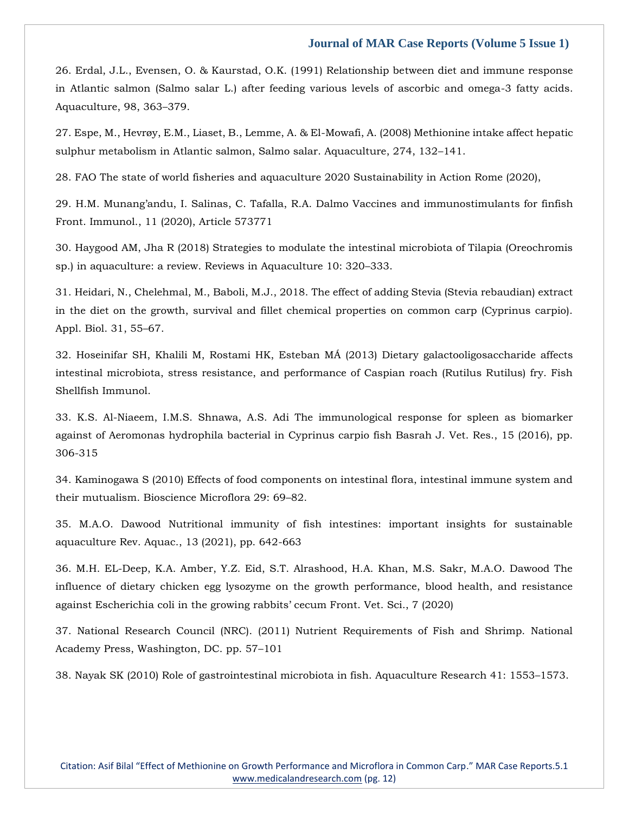26. Erdal, J.L., Evensen, O. & Kaurstad, O.K. (1991) Relationship between diet and immune response in Atlantic salmon (Salmo salar L.) after feeding various levels of ascorbic and omega-3 fatty acids. Aquaculture, 98, 363–379.

27. Espe, M., Hevrøy, E.M., Liaset, B., Lemme, A. & El-Mowafi, A. (2008) Methionine intake affect hepatic sulphur metabolism in Atlantic salmon, Salmo salar. Aquaculture, 274, 132–141.

28. FAO The state of world fisheries and aquaculture 2020 Sustainability in Action Rome (2020),

29. H.M. Munang'andu, I. Salinas, C. Tafalla, R.A. Dalmo Vaccines and immunostimulants for finfish Front. Immunol., 11 (2020), Article 573771

30. Haygood AM, Jha R (2018) Strategies to modulate the intestinal microbiota of Tilapia (Oreochromis sp.) in aquaculture: a review. Reviews in Aquaculture 10: 320–333.

31. Heidari, N., Chelehmal, M., Baboli, M.J., 2018. The effect of adding Stevia (Stevia rebaudian) extract in the diet on the growth, survival and fillet chemical properties on common carp (Cyprinus carpio). Appl. Biol. 31, 55–67.

32. Hoseinifar SH, Khalili M, Rostami HK, Esteban MÁ (2013) Dietary galactooligosaccharide affects intestinal microbiota, stress resistance, and performance of Caspian roach (Rutilus Rutilus) fry. Fish Shellfish Immunol.

33. K.S. Al-Niaeem, I.M.S. Shnawa, A.S. Adi The immunological response for spleen as biomarker against of Aeromonas hydrophila bacterial in Cyprinus carpio fish Basrah J. Vet. Res., 15 (2016), pp. 306-315

34. Kaminogawa S (2010) Effects of food components on intestinal flora, intestinal immune system and their mutualism. Bioscience Microflora 29: 69–82.

35. M.A.O. Dawood Nutritional immunity of fish intestines: important insights for sustainable aquaculture Rev. Aquac., 13 (2021), pp. 642-663

36. M.H. EL-Deep, K.A. Amber, Y.Z. Eid, S.T. Alrashood, H.A. Khan, M.S. Sakr, M.A.O. Dawood The influence of dietary chicken egg lysozyme on the growth performance, blood health, and resistance against Escherichia coli in the growing rabbits' cecum Front. Vet. Sci., 7 (2020)

37. National Research Council (NRC). (2011) Nutrient Requirements of Fish and Shrimp. National Academy Press, Washington, DC. pp. 57–101

38. Nayak SK (2010) Role of gastrointestinal microbiota in fish. Aquaculture Research 41: 1553–1573.